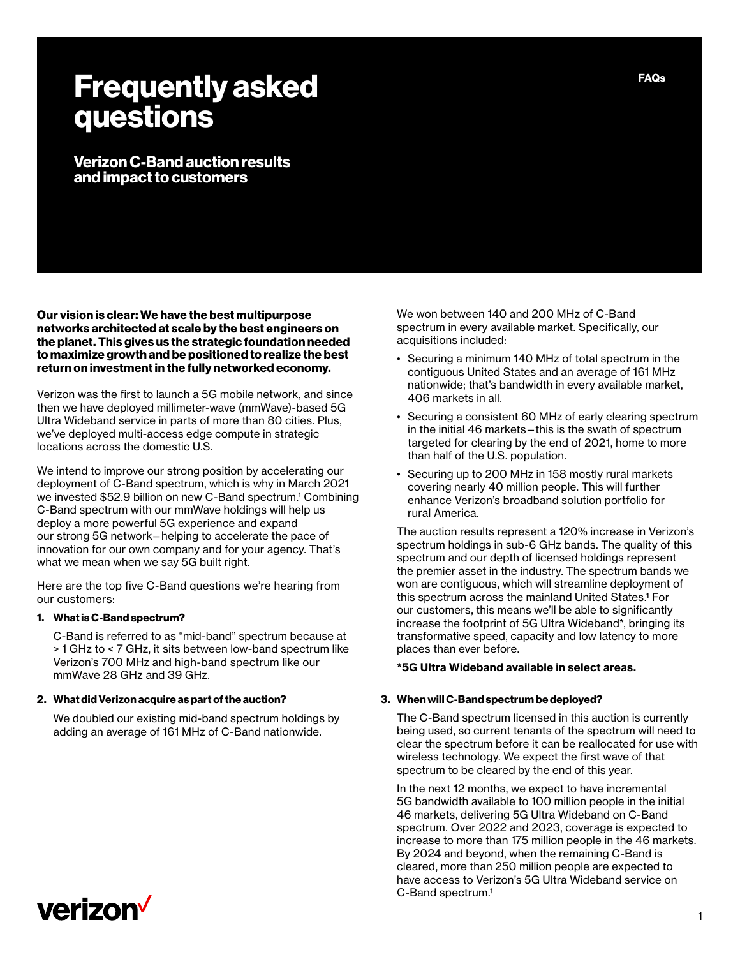# **Frequently asked questions**

**Verizon C-Band auction results and impact to customers**

**Our vision is clear: We have the best multipurpose networks architected at scale by the best engineers on the planet. This gives us the strategic foundation needed to maximize growth and be positioned to realize the best return on investment in the fully networked economy.**

Verizon was the first to launch a 5G mobile network, and since then we have deployed millimeter-wave (mmWave)-based 5G Ultra Wideband service in parts of more than 80 cities. Plus, we've deployed multi-access edge compute in strategic locations across the domestic U.S.

We intend to improve our strong position by accelerating our deployment of C-Band spectrum, which is why in March 2021 we invested \$52.9 billion on new C-Band spectrum.<sup>1</sup> Combining C-Band spectrum with our mmWave holdings will help us deploy a more powerful 5G experience and expand our strong 5G network—helping to accelerate the pace of innovation for our own company and for your agency. That's what we mean when we say 5G built right.

Here are the top five C-Band questions we're hearing from our customers:

#### **1. What is C-Band spectrum?**

C-Band is referred to as "mid-band" spectrum because at > 1 GHz to < 7 GHz, it sits between low-band spectrum like Verizon's 700 MHz and high-band spectrum like our mmWave 28 GHz and 39 GHz.

#### **2. What did Verizon acquire as part of the auction?**

We doubled our existing mid-band spectrum holdings by adding an average of 161 MHz of C-Band nationwide.

We won between 140 and 200 MHz of C-Band spectrum in every available market. Specifically, our acquisitions included:

- Securing a minimum 140 MHz of total spectrum in the contiguous United States and an average of 161 MHz nationwide; that's bandwidth in every available market, 406 markets in all.
- Securing a consistent 60 MHz of early clearing spectrum in the initial 46 markets—this is the swath of spectrum targeted for clearing by the end of 2021, home to more than half of the U.S. population.
- Securing up to 200 MHz in 158 mostly rural markets covering nearly 40 million people. This will further enhance Verizon's broadband solution portfolio for rural America.

The auction results represent a 120% increase in Verizon's spectrum holdings in sub-6 GHz bands. The quality of this spectrum and our depth of licensed holdings represent the premier asset in the industry. The spectrum bands we won are contiguous, which will streamline deployment of this spectrum across the mainland United States.1 For our customers, this means we'll be able to significantly increase the footprint of 5G Ultra Wideband\*, bringing its transformative speed, capacity and low latency to more places than ever before.

## **\*5G Ultra Wideband available in select areas.**

#### **3. When will C-Band spectrum be deployed?**

The C-Band spectrum licensed in this auction is currently being used, so current tenants of the spectrum will need to clear the spectrum before it can be reallocated for use with wireless technology. We expect the first wave of that spectrum to be cleared by the end of this year.

In the next 12 months, we expect to have incremental 5G bandwidth available to 100 million people in the initial 46 markets, delivering 5G Ultra Wideband on C-Band spectrum. Over 2022 and 2023, coverage is expected to increase to more than 175 million people in the 46 markets. By 2024 and beyond, when the remaining C-Band is cleared, more than 250 million people are expected to have access to Verizon's 5G Ultra Wideband service on C-Band spectrum.1